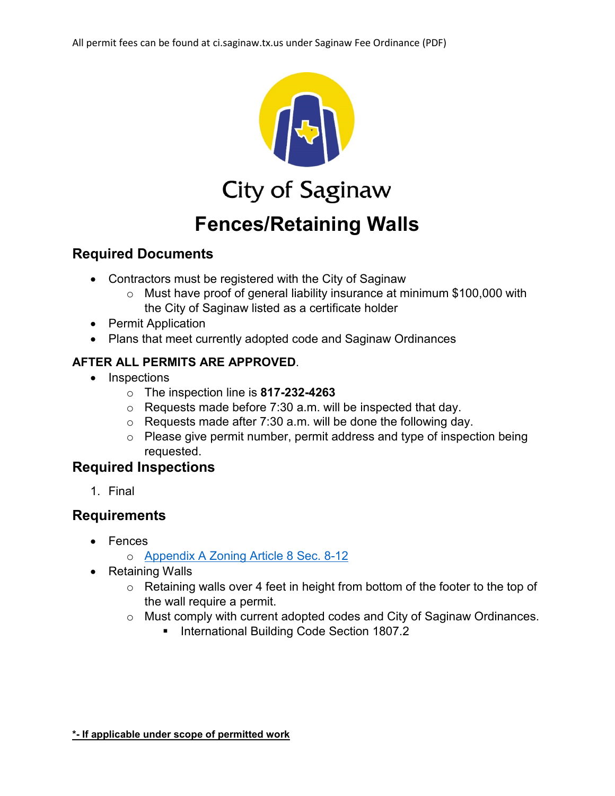

**City of Saginaw** 

# **Fences/Retaining Walls**

# **Required Documents**

- Contractors must be registered with the City of Saginaw
	- o Must have proof of general liability insurance at minimum \$100,000 with the City of Saginaw listed as a certificate holder
- Permit Application
- Plans that meet currently adopted code and Saginaw Ordinances

# **AFTER ALL PERMITS ARE APPROVED**.

- Inspections
	- o The inspection line is **817-232-4263**
	- $\circ$  Requests made before 7:30 a.m. will be inspected that day.
	- o Requests made after 7:30 a.m. will be done the following day.
	- o Please give permit number, permit address and type of inspection being requested.

# **Required Inspections**

1. Final

# **Requirements**

- Fences
	- o [Appendix A Zoning Article 8 Sec. 8-12](https://library.municode.com/tx/saginaw/codes/code_of_ordinances?nodeId=CICO_APXAZO_ART8SUDIRE_S8-12SCDEFERE)
- Retaining Walls
	- o Retaining walls over 4 feet in height from bottom of the footer to the top of the wall require a permit.
	- o Must comply with current adopted codes and City of Saginaw Ordinances.
		- **International Building Code Section 1807.2**